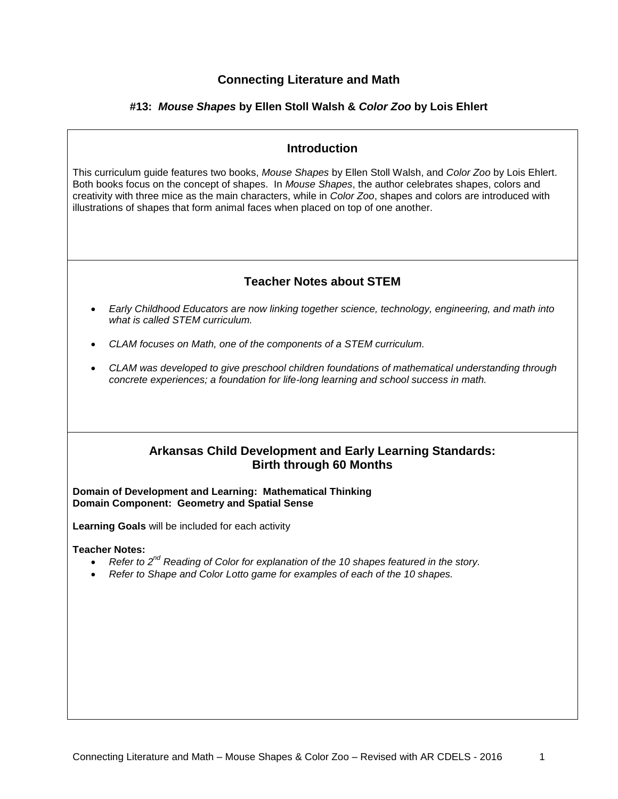## **Connecting Literature and Math**

## **#13:** *Mouse Shapes* **by Ellen Stoll Walsh &** *Color Zoo* **by Lois Ehlert**

## **Introduction**

This curriculum guide features two books, *Mouse Shapes* by Ellen Stoll Walsh, and *Color Zoo* by Lois Ehlert. Both books focus on the concept of shapes. In *Mouse Shapes*, the author celebrates shapes, colors and creativity with three mice as the main characters, while in *Color Zoo*, shapes and colors are introduced with illustrations of shapes that form animal faces when placed on top of one another.

## **Teacher Notes about STEM**

- *Early Childhood Educators are now linking together science, technology, engineering, and math into what is called STEM curriculum.*
- *CLAM focuses on Math, one of the components of a STEM curriculum.*
- *CLAM was developed to give preschool children foundations of mathematical understanding through concrete experiences; a foundation for life-long learning and school success in math.*

## **Arkansas Child Development and Early Learning Standards: Birth through 60 Months**

**Domain of Development and Learning: Mathematical Thinking Domain Component: Geometry and Spatial Sense**

**Learning Goals** will be included for each activity

**Teacher Notes:** 

- *Refer to 2nd Reading of Color for explanation of the 10 shapes featured in the story.*
- *Refer to Shape and Color Lotto game for examples of each of the 10 shapes.*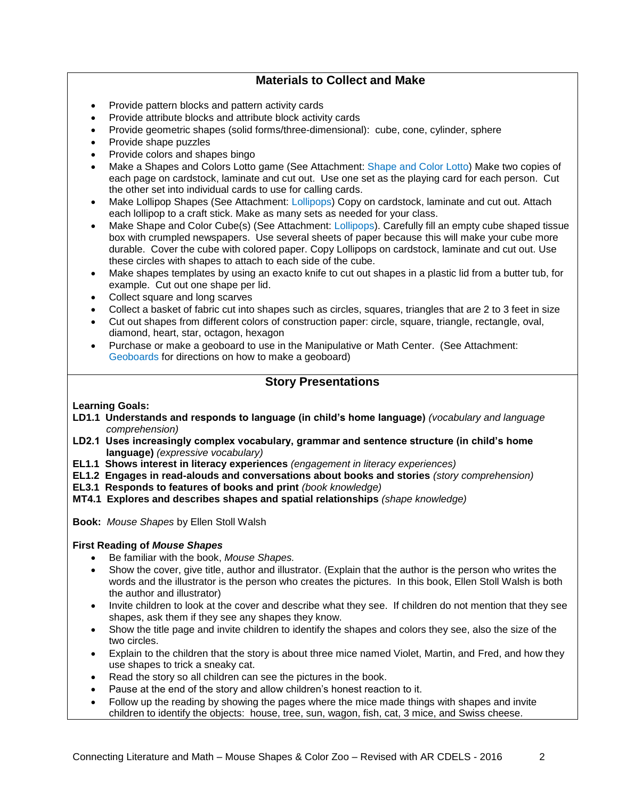# **Materials to Collect and Make**

- Provide pattern blocks and pattern activity cards
- Provide attribute blocks and attribute block activity cards
- Provide geometric shapes (solid forms/three-dimensional): cube, cone, cylinder, sphere
- Provide shape puzzles
- Provide colors and shapes bingo
- Make a Shapes and Colors Lotto game (See Attachment: Shape and Color Lotto) Make two copies of each page on cardstock, laminate and cut out. Use one set as the playing card for each person. Cut the other set into individual cards to use for calling cards.
- Make Lollipop Shapes (See Attachment: Lollipops) Copy on cardstock, laminate and cut out. Attach each lollipop to a craft stick. Make as many sets as needed for your class.
- Make Shape and Color Cube(s) (See Attachment: Lollipops). Carefully fill an empty cube shaped tissue box with crumpled newspapers. Use several sheets of paper because this will make your cube more durable. Cover the cube with colored paper. Copy Lollipops on cardstock, laminate and cut out. Use these circles with shapes to attach to each side of the cube.
- Make shapes templates by using an exacto knife to cut out shapes in a plastic lid from a butter tub, for example. Cut out one shape per lid.
- Collect square and long scarves
- Collect a basket of fabric cut into shapes such as circles, squares, triangles that are 2 to 3 feet in size
- Cut out shapes from different colors of construction paper: circle, square, triangle, rectangle, oval, diamond, heart, star, octagon, hexagon
- Purchase or make a geoboard to use in the Manipulative or Math Center. (See Attachment: Geoboards for directions on how to make a geoboard)

## **Story Presentations**

## **Learning Goals:**

- **LD1.1 Understands and responds to language (in child's home language)** *(vocabulary and language comprehension)*
- **LD2.1 Uses increasingly complex vocabulary, grammar and sentence structure (in child's home language)** *(expressive vocabulary)*
- **EL1.1 Shows interest in literacy experiences** *(engagement in literacy experiences)*
- **EL1.2 Engages in read-alouds and conversations about books and stories** *(story comprehension)*
- **EL3.1 Responds to features of books and print** *(book knowledge)*
- **MT4.1 Explores and describes shapes and spatial relationships** *(shape knowledge)*

**Book:** *Mouse Shapes* by Ellen Stoll Walsh

## **First Reading of** *Mouse Shapes*

- Be familiar with the book, *Mouse Shapes.*
- Show the cover, give title, author and illustrator. (Explain that the author is the person who writes the words and the illustrator is the person who creates the pictures. In this book, Ellen Stoll Walsh is both the author and illustrator)
- Invite children to look at the cover and describe what they see. If children do not mention that they see shapes, ask them if they see any shapes they know.
- Show the title page and invite children to identify the shapes and colors they see, also the size of the two circles.
- Explain to the children that the story is about three mice named Violet, Martin, and Fred, and how they use shapes to trick a sneaky cat.
- Read the story so all children can see the pictures in the book.
- Pause at the end of the story and allow children's honest reaction to it.
- Follow up the reading by showing the pages where the mice made things with shapes and invite children to identify the objects: house, tree, sun, wagon, fish, cat, 3 mice, and Swiss cheese.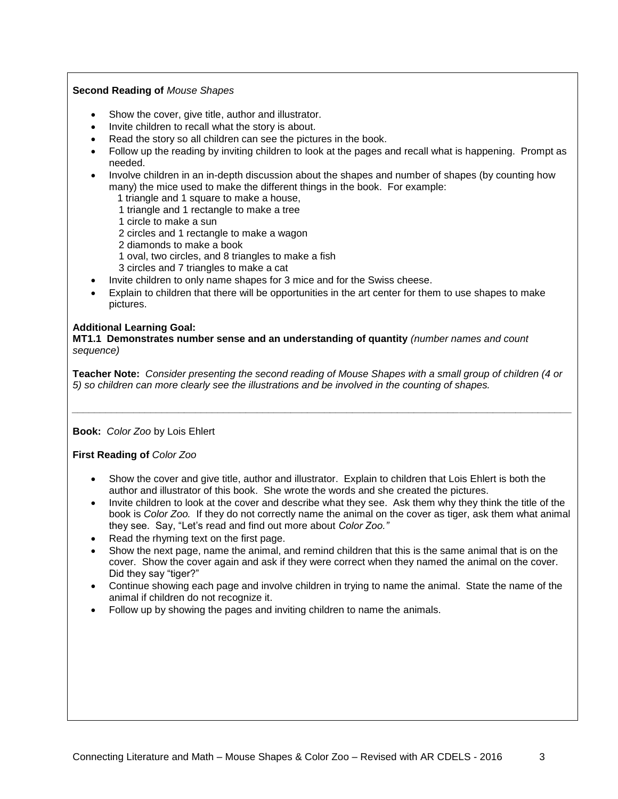#### **Second Reading of** *Mouse Shapes*

- Show the cover, give title, author and illustrator.
- Invite children to recall what the story is about.
- Read the story so all children can see the pictures in the book.
- Follow up the reading by inviting children to look at the pages and recall what is happening. Prompt as needed.
- Involve children in an in-depth discussion about the shapes and number of shapes (by counting how many) the mice used to make the different things in the book. For example:
	- 1 triangle and 1 square to make a house,
	- 1 triangle and 1 rectangle to make a tree
	- 1 circle to make a sun
	- 2 circles and 1 rectangle to make a wagon
	- 2 diamonds to make a book
	- 1 oval, two circles, and 8 triangles to make a fish
	- 3 circles and 7 triangles to make a cat
- Invite children to only name shapes for 3 mice and for the Swiss cheese.
- Explain to children that there will be opportunities in the art center for them to use shapes to make pictures.

#### **Additional Learning Goal:**

**MT1.1 Demonstrates number sense and an understanding of quantity** *(number names and count sequence)*

**Teacher Note:** *Consider presenting the second reading of Mouse Shapes with a small group of children (4 or 5) so children can more clearly see the illustrations and be involved in the counting of shapes.*

*\_\_\_\_\_\_\_\_\_\_\_\_\_\_\_\_\_\_\_\_\_\_\_\_\_\_\_\_\_\_\_\_\_\_\_\_\_\_\_\_\_\_\_\_\_\_\_\_\_\_\_\_\_\_\_\_\_\_\_\_\_\_\_\_\_\_\_\_\_\_\_\_\_\_\_\_\_\_\_\_\_\_\_\_\_\_\_\_\_*

**Book:** *Color Zoo* by Lois Ehlert

**First Reading of** *Color Zoo*

- Show the cover and give title, author and illustrator. Explain to children that Lois Ehlert is both the author and illustrator of this book. She wrote the words and she created the pictures.
- Invite children to look at the cover and describe what they see. Ask them why they think the title of the book is *Color Zoo.* If they do not correctly name the animal on the cover as tiger, ask them what animal they see. Say, "Let's read and find out more about *Color Zoo."*
- Read the rhyming text on the first page.
- Show the next page, name the animal, and remind children that this is the same animal that is on the cover. Show the cover again and ask if they were correct when they named the animal on the cover. Did they say "tiger?"
- Continue showing each page and involve children in trying to name the animal. State the name of the animal if children do not recognize it.
- Follow up by showing the pages and inviting children to name the animals.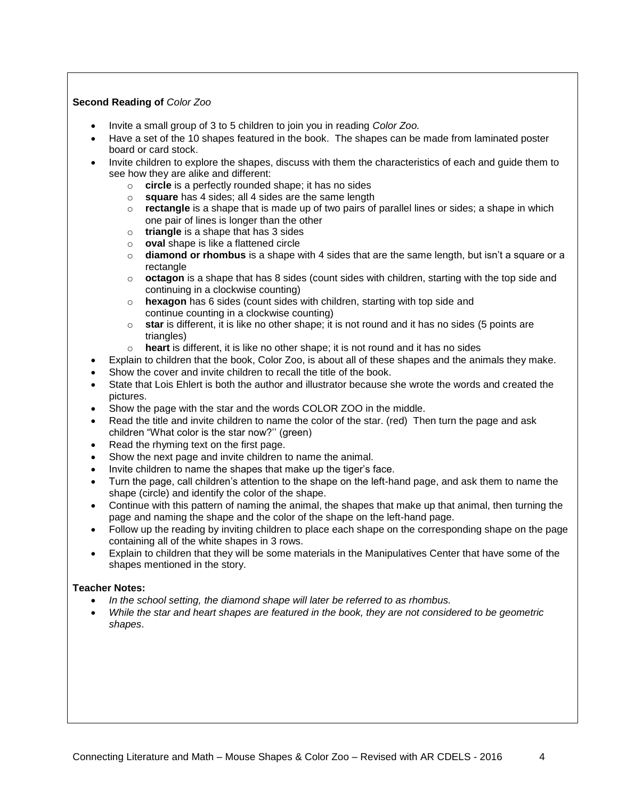## **Second Reading of** *Color Zoo*

- Invite a small group of 3 to 5 children to join you in reading *Color Zoo.*
- Have a set of the 10 shapes featured in the book. The shapes can be made from laminated poster board or card stock.
- Invite children to explore the shapes, discuss with them the characteristics of each and guide them to see how they are alike and different:
	- o **circle** is a perfectly rounded shape; it has no sides
	- o **square** has 4 sides; all 4 sides are the same length
	- o **rectangle** is a shape that is made up of two pairs of parallel lines or sides; a shape in which one pair of lines is longer than the other
	- o **triangle** is a shape that has 3 sides
	- o **oval** shape is like a flattened circle
	- o **diamond or rhombus** is a shape with 4 sides that are the same length, but isn't a square or a rectangle
	- o **octagon** is a shape that has 8 sides (count sides with children, starting with the top side and continuing in a clockwise counting)
	- o **hexagon** has 6 sides (count sides with children, starting with top side and continue counting in a clockwise counting)
	- o **star** is different, it is like no other shape; it is not round and it has no sides (5 points are triangles)
	- o **heart** is different, it is like no other shape; it is not round and it has no sides
	- Explain to children that the book, Color Zoo, is about all of these shapes and the animals they make.
- Show the cover and invite children to recall the title of the book.
- State that Lois Ehlert is both the author and illustrator because she wrote the words and created the pictures.
- Show the page with the star and the words COLOR ZOO in the middle.
- Read the title and invite children to name the color of the star. (red) Then turn the page and ask children "What color is the star now?'' (green)
- Read the rhyming text on the first page.
- Show the next page and invite children to name the animal.
- Invite children to name the shapes that make up the tiger's face.
- Turn the page, call children's attention to the shape on the left-hand page, and ask them to name the shape (circle) and identify the color of the shape.
- Continue with this pattern of naming the animal, the shapes that make up that animal, then turning the page and naming the shape and the color of the shape on the left-hand page.
- Follow up the reading by inviting children to place each shape on the corresponding shape on the page containing all of the white shapes in 3 rows.
- Explain to children that they will be some materials in the Manipulatives Center that have some of the shapes mentioned in the story.

#### **Teacher Notes:**

- *In the school setting, the diamond shape will later be referred to as rhombus.*
- *While the star and heart shapes are featured in the book, they are not considered to be geometric shapes*.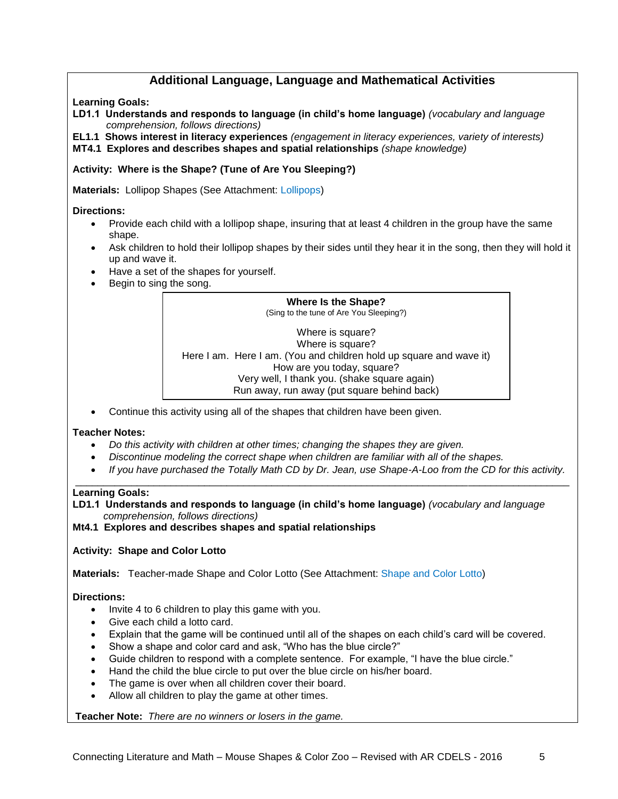# **Additional Language, Language and Mathematical Activities**

## **Learning Goals:**

**LD1.1 Understands and responds to language (in child's home language)** *(vocabulary and language comprehension, follows directions)*

**EL1.1 Shows interest in literacy experiences** *(engagement in literacy experiences, variety of interests)* **MT4.1 Explores and describes shapes and spatial relationships** *(shape knowledge)*

# **Activity: Where is the Shape? (Tune of Are You Sleeping?)**

**Materials:** Lollipop Shapes (See Attachment: Lollipops)

## **Directions:**

- Provide each child with a lollipop shape, insuring that at least 4 children in the group have the same shape.
- Ask children to hold their lollipop shapes by their sides until they hear it in the song, then they will hold it up and wave it.
- Have a set of the shapes for yourself.
- Begin to sing the song.



Continue this activity using all of the shapes that children have been given.

#### **Teacher Notes:**

- *Do this activity with children at other times; changing the shapes they are given.*
- *Discontinue modeling the correct shape when children are familiar with all of the shapes.*
- *If you have purchased the Totally Math CD by Dr. Jean, use Shape-A-Loo from the CD for this activity.* \_\_\_\_\_\_\_\_\_\_\_\_\_\_\_\_\_\_\_\_\_\_\_\_\_\_\_\_\_\_\_\_\_\_\_\_\_\_\_\_\_\_\_\_\_\_\_\_\_\_\_\_\_\_\_\_\_\_\_\_\_\_\_\_\_\_\_\_\_\_\_\_\_\_\_\_\_\_\_\_\_\_\_\_\_\_\_\_

#### **Learning Goals:**

**LD1.1 Understands and responds to language (in child's home language)** *(vocabulary and language comprehension, follows directions)*

**Mt4.1 Explores and describes shapes and spatial relationships**

## **Activity: Shape and Color Lotto**

**Materials:** Teacher-made Shape and Color Lotto (See Attachment: Shape and Color Lotto)

## **Directions:**

- $\bullet$  Invite 4 to 6 children to play this game with you.
- Give each child a lotto card.
- Explain that the game will be continued until all of the shapes on each child's card will be covered.
- Show a shape and color card and ask, "Who has the blue circle?"
- Guide children to respond with a complete sentence. For example, "I have the blue circle."
- Hand the child the blue circle to put over the blue circle on his/her board.
- The game is over when all children cover their board.
- Allow all children to play the game at other times.

**Teacher Note:** *There are no winners or losers in the game.*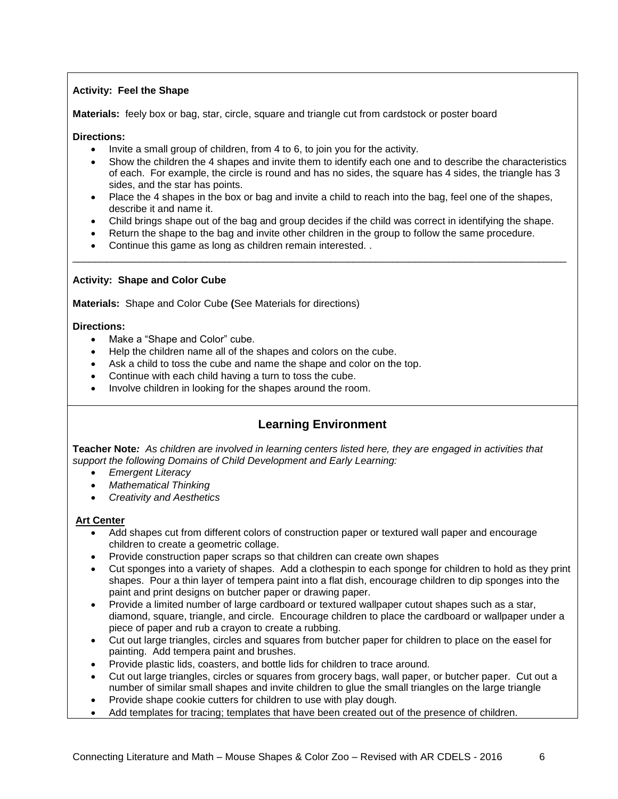## **Activity: Feel the Shape**

**Materials:** feely box or bag, star, circle, square and triangle cut from cardstock or poster board

**Directions:**

- Invite a small group of children, from 4 to 6, to join you for the activity.
- Show the children the 4 shapes and invite them to identify each one and to describe the characteristics of each. For example, the circle is round and has no sides, the square has 4 sides, the triangle has 3 sides, and the star has points.
- Place the 4 shapes in the box or bag and invite a child to reach into the bag, feel one of the shapes, describe it and name it.
- Child brings shape out of the bag and group decides if the child was correct in identifying the shape.

\_\_\_\_\_\_\_\_\_\_\_\_\_\_\_\_\_\_\_\_\_\_\_\_\_\_\_\_\_\_\_\_\_\_\_\_\_\_\_\_\_\_\_\_\_\_\_\_\_\_\_\_\_\_\_\_\_\_\_\_\_\_\_\_\_\_\_\_\_\_\_\_\_\_\_\_\_\_\_\_\_\_\_\_\_\_\_\_

- Return the shape to the bag and invite other children in the group to follow the same procedure.
- Continue this game as long as children remain interested. .

## **Activity: Shape and Color Cube**

**Materials:** Shape and Color Cube **(**See Materials for directions)

### **Directions:**

- Make a "Shape and Color" cube.
- Help the children name all of the shapes and colors on the cube.
- Ask a child to toss the cube and name the shape and color on the top.
- Continue with each child having a turn to toss the cube.
- Involve children in looking for the shapes around the room.

# **Learning Environment**

**Teacher Note***: As children are involved in learning centers listed here, they are engaged in activities that support the following Domains of Child Development and Early Learning:*

- *Emergent Literacy*
- *Mathematical Thinking*
- *Creativity and Aesthetics*

## **Art Center**

- Add shapes cut from different colors of construction paper or textured wall paper and encourage children to create a geometric collage.
- Provide construction paper scraps so that children can create own shapes
- Cut sponges into a variety of shapes. Add a clothespin to each sponge for children to hold as they print shapes. Pour a thin layer of tempera paint into a flat dish, encourage children to dip sponges into the paint and print designs on butcher paper or drawing paper.
- Provide a limited number of large cardboard or textured wallpaper cutout shapes such as a star, diamond, square, triangle, and circle. Encourage children to place the cardboard or wallpaper under a piece of paper and rub a crayon to create a rubbing.
- Cut out large triangles, circles and squares from butcher paper for children to place on the easel for painting. Add tempera paint and brushes.
- Provide plastic lids, coasters, and bottle lids for children to trace around.
- Cut out large triangles, circles or squares from grocery bags, wall paper, or butcher paper. Cut out a number of similar small shapes and invite children to glue the small triangles on the large triangle
- Provide shape cookie cutters for children to use with play dough.
- Add templates for tracing; templates that have been created out of the presence of children.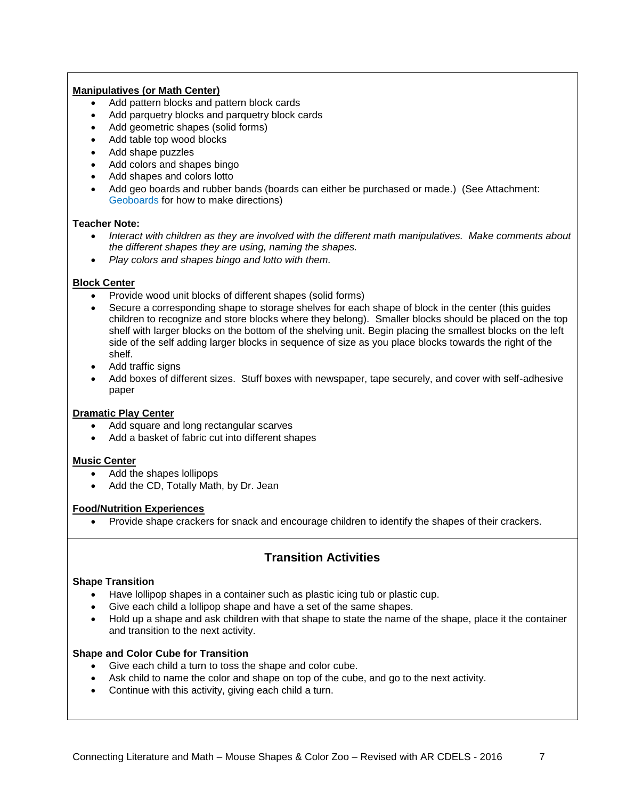### **Manipulatives (or Math Center)**

- Add pattern blocks and pattern block cards
- Add parquetry blocks and parquetry block cards
- Add geometric shapes (solid forms)
- Add table top wood blocks
- Add shape puzzles
- Add colors and shapes bingo
- Add shapes and colors lotto
- Add geo boards and rubber bands (boards can either be purchased or made.) (See Attachment: Geoboards for how to make directions)

### **Teacher Note:**

- *Interact with children as they are involved with the different math manipulatives. Make comments about the different shapes they are using, naming the shapes.*
- *Play colors and shapes bingo and lotto with them.*

### **Block Center**

- Provide wood unit blocks of different shapes (solid forms)
- Secure a corresponding shape to storage shelves for each shape of block in the center (this guides children to recognize and store blocks where they belong). Smaller blocks should be placed on the top shelf with larger blocks on the bottom of the shelving unit. Begin placing the smallest blocks on the left side of the self adding larger blocks in sequence of size as you place blocks towards the right of the shelf.
- Add traffic signs
- Add boxes of different sizes. Stuff boxes with newspaper, tape securely, and cover with self-adhesive paper

#### **Dramatic Play Center**

- Add square and long rectangular scarves
- Add a basket of fabric cut into different shapes

#### **Music Center**

- Add the shapes lollipops
- Add the CD, Totally Math, by Dr. Jean

#### **Food/Nutrition Experiences**

• Provide shape crackers for snack and encourage children to identify the shapes of their crackers.

# **Transition Activities**

#### **Shape Transition**

- Have lollipop shapes in a container such as plastic icing tub or plastic cup.
- Give each child a lollipop shape and have a set of the same shapes.
- Hold up a shape and ask children with that shape to state the name of the shape, place it the container and transition to the next activity.

#### **Shape and Color Cube for Transition**

- Give each child a turn to toss the shape and color cube.
- Ask child to name the color and shape on top of the cube, and go to the next activity.
- Continue with this activity, giving each child a turn.